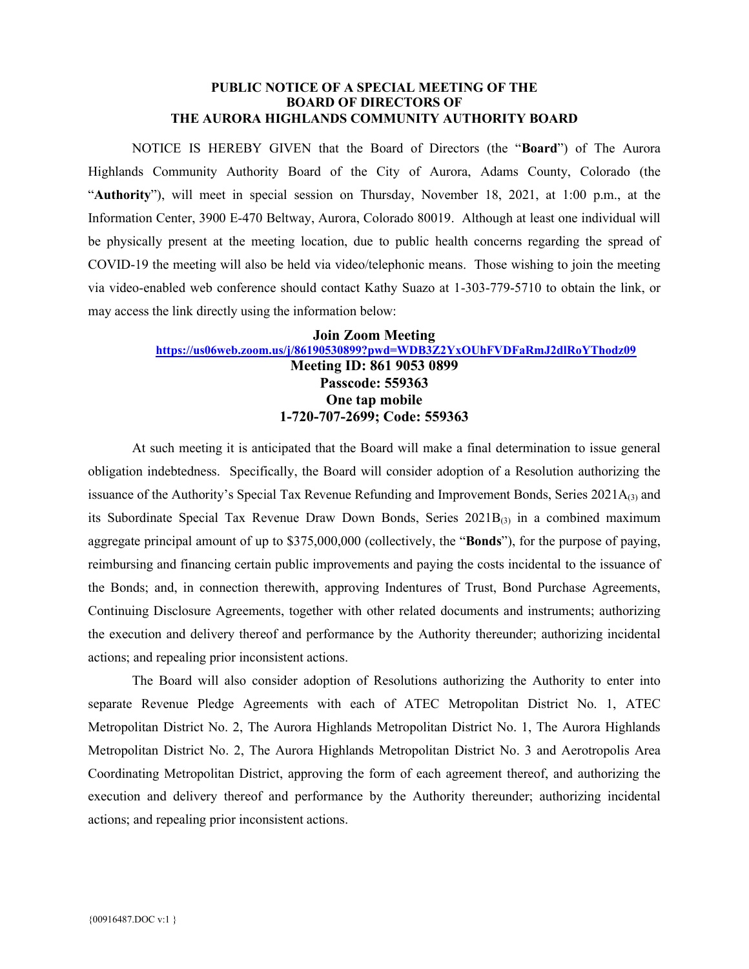#### **PUBLIC NOTICE OF A SPECIAL MEETING OF THE BOARD OF DIRECTORS OF THE AURORA HIGHLANDS COMMUNITY AUTHORITY BOARD**

NOTICE IS HEREBY GIVEN that the Board of Directors (the "**Board**") of The Aurora Highlands Community Authority Board of the City of Aurora, Adams County, Colorado (the "**Authority**"), will meet in special session on Thursday, November 18, 2021, at 1:00 p.m., at the Information Center, 3900 E-470 Beltway, Aurora, Colorado 80019. Although at least one individual will be physically present at the meeting location, due to public health concerns regarding the spread of COVID-19 the meeting will also be held via video/telephonic means. Those wishing to join the meeting via video-enabled web conference should contact Kathy Suazo at 1-303-779-5710 to obtain the link, or may access the link directly using the information below:

### **Join Zoom Meeting <https://us06web.zoom.us/j/86190530899?pwd=WDB3Z2YxOUhFVDFaRmJ2dlRoYThodz09> Meeting ID: 861 9053 0899 Passcode: 559363 One tap mobile 1-720-707-2699; Code: 559363**

At such meeting it is anticipated that the Board will make a final determination to issue general obligation indebtedness. Specifically, the Board will consider adoption of a Resolution authorizing the issuance of the Authority's Special Tax Revenue Refunding and Improvement Bonds, Series  $2021A_{(3)}$  and its Subordinate Special Tax Revenue Draw Down Bonds, Series 2021B<sub>(3)</sub> in a combined maximum aggregate principal amount of up to \$375,000,000 (collectively, the "**Bonds**"), for the purpose of paying, reimbursing and financing certain public improvements and paying the costs incidental to the issuance of the Bonds; and, in connection therewith, approving Indentures of Trust, Bond Purchase Agreements, Continuing Disclosure Agreements, together with other related documents and instruments; authorizing the execution and delivery thereof and performance by the Authority thereunder; authorizing incidental actions; and repealing prior inconsistent actions.

The Board will also consider adoption of Resolutions authorizing the Authority to enter into separate Revenue Pledge Agreements with each of ATEC Metropolitan District No. 1, ATEC Metropolitan District No. 2, The Aurora Highlands Metropolitan District No. 1, The Aurora Highlands Metropolitan District No. 2, The Aurora Highlands Metropolitan District No. 3 and Aerotropolis Area Coordinating Metropolitan District, approving the form of each agreement thereof, and authorizing the execution and delivery thereof and performance by the Authority thereunder; authorizing incidental actions; and repealing prior inconsistent actions.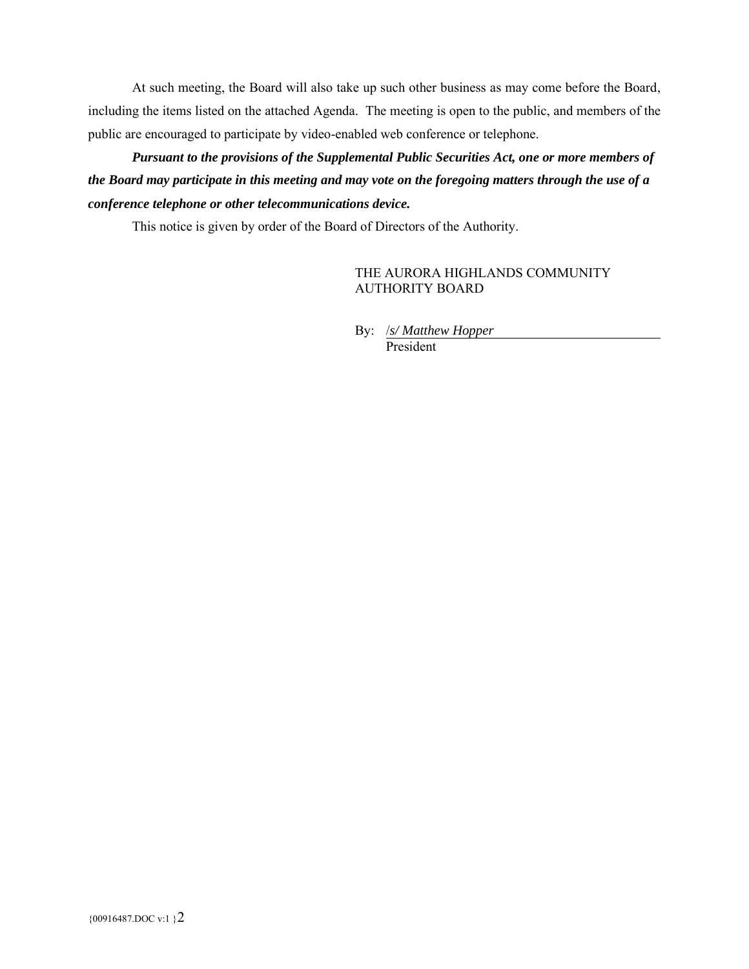At such meeting, the Board will also take up such other business as may come before the Board, including the items listed on the attached Agenda. The meeting is open to the public, and members of the public are encouraged to participate by video-enabled web conference or telephone.

*Pursuant to the provisions of the Supplemental Public Securities Act, one or more members of the Board may participate in this meeting and may vote on the foregoing matters through the use of a conference telephone or other telecommunications device.*

This notice is given by order of the Board of Directors of the Authority.

THE AURORA HIGHLANDS COMMUNITY AUTHORITY BOARD

By: /*s/ Matthew Hopper* President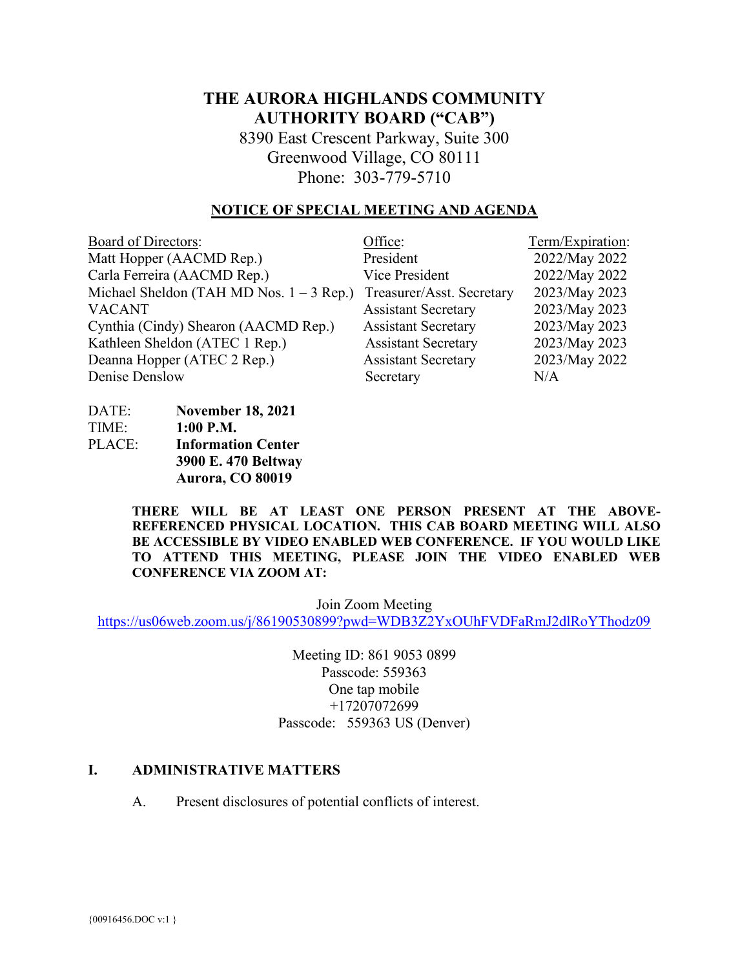# **THE AURORA HIGHLANDS COMMUNITY AUTHORITY BOARD ("CAB")**

8390 East Crescent Parkway, Suite 300 Greenwood Village, CO 80111 Phone: 303-779-5710

### **NOTICE OF SPECIAL MEETING AND AGENDA**

| <b>Board of Directors:</b>                 | Office:                    | Term/Expiration: |
|--------------------------------------------|----------------------------|------------------|
| Matt Hopper (AACMD Rep.)                   | President                  | 2022/May 2022    |
| Carla Ferreira (AACMD Rep.)                | Vice President             | 2022/May 2022    |
| Michael Sheldon (TAH MD Nos. $1 - 3$ Rep.) | Treasurer/Asst. Secretary  | 2023/May 2023    |
| <b>VACANT</b>                              | <b>Assistant Secretary</b> | 2023/May 2023    |
| Cynthia (Cindy) Shearon (AACMD Rep.)       | <b>Assistant Secretary</b> | 2023/May 2023    |
| Kathleen Sheldon (ATEC 1 Rep.)             | <b>Assistant Secretary</b> | 2023/May 2023    |
| Deanna Hopper (ATEC 2 Rep.)                | <b>Assistant Secretary</b> | 2023/May 2022    |
| Denise Denslow                             | Secretary                  | N/A              |

DATE: **November 18, 2021** TIME: **1:00 P.M.** PLACE: **Information Center 3900 E. 470 Beltway Aurora, CO 80019**

> **THERE WILL BE AT LEAST ONE PERSON PRESENT AT THE ABOVE-REFERENCED PHYSICAL LOCATION. THIS CAB BOARD MEETING WILL ALSO BE ACCESSIBLE BY VIDEO ENABLED WEB CONFERENCE. IF YOU WOULD LIKE TO ATTEND THIS MEETING, PLEASE JOIN THE VIDEO ENABLED WEB CONFERENCE VIA ZOOM AT:**

> > Join Zoom Meeting

<https://us06web.zoom.us/j/86190530899?pwd=WDB3Z2YxOUhFVDFaRmJ2dlRoYThodz09>

Meeting ID: 861 9053 0899 Passcode: 559363 One tap mobile +17207072699 Passcode: 559363 US (Denver)

#### **I. ADMINISTRATIVE MATTERS**

A. Present disclosures of potential conflicts of interest.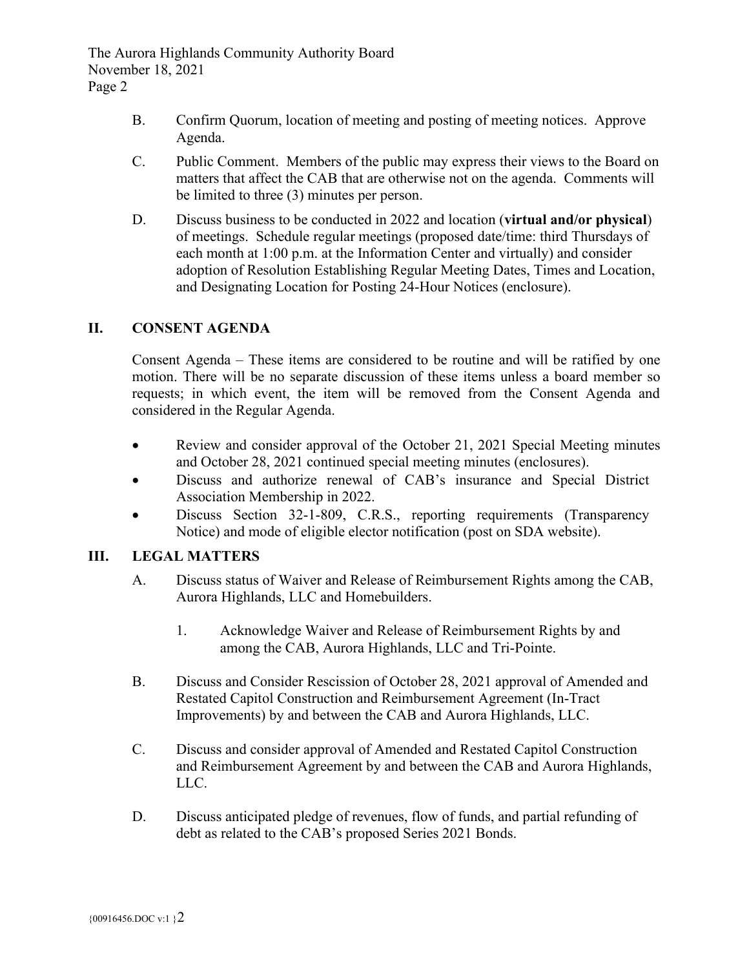- B. Confirm Quorum, location of meeting and posting of meeting notices. Approve Agenda.
- C. Public Comment. Members of the public may express their views to the Board on matters that affect the CAB that are otherwise not on the agenda. Comments will be limited to three (3) minutes per person.
- D. Discuss business to be conducted in 2022 and location (**virtual and/or physical**) of meetings. Schedule regular meetings (proposed date/time: third Thursdays of each month at 1:00 p.m. at the Information Center and virtually) and consider adoption of Resolution Establishing Regular Meeting Dates, Times and Location, and Designating Location for Posting 24-Hour Notices (enclosure).

# **II. CONSENT AGENDA**

Consent Agenda – These items are considered to be routine and will be ratified by one motion. There will be no separate discussion of these items unless a board member so requests; in which event, the item will be removed from the Consent Agenda and considered in the Regular Agenda.

- Review and consider approval of the October 21, 2021 Special Meeting minutes and October 28, 2021 continued special meeting minutes (enclosures).
- Discuss and authorize renewal of CAB's insurance and Special District Association Membership in 2022.
- Discuss Section 32-1-809, C.R.S., reporting requirements (Transparency Notice) and mode of eligible elector notification (post on SDA website).

### **III. LEGAL MATTERS**

- A. Discuss status of Waiver and Release of Reimbursement Rights among the CAB, Aurora Highlands, LLC and Homebuilders.
	- 1. Acknowledge Waiver and Release of Reimbursement Rights by and among the CAB, Aurora Highlands, LLC and Tri-Pointe.
- B. Discuss and Consider Rescission of October 28, 2021 approval of Amended and Restated Capitol Construction and Reimbursement Agreement (In-Tract Improvements) by and between the CAB and Aurora Highlands, LLC.
- C. Discuss and consider approval of Amended and Restated Capitol Construction and Reimbursement Agreement by and between the CAB and Aurora Highlands, LLC.
- D. Discuss anticipated pledge of revenues, flow of funds, and partial refunding of debt as related to the CAB's proposed Series 2021 Bonds.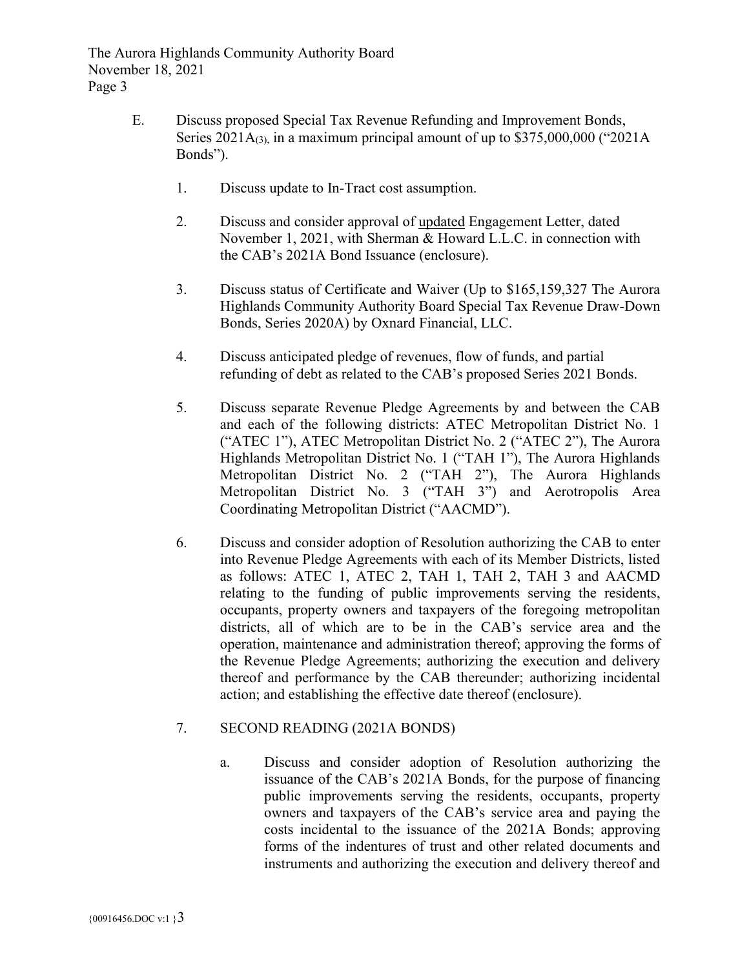- E. Discuss proposed Special Tax Revenue Refunding and Improvement Bonds, Series  $2021A_{(3)}$ , in a maximum principal amount of up to \$375,000,000 ("2021A) Bonds").
	- 1. Discuss update to In-Tract cost assumption.
	- 2. Discuss and consider approval of updated Engagement Letter, dated November 1, 2021, with Sherman & Howard L.L.C. in connection with the CAB's 2021A Bond Issuance (enclosure).
	- 3. Discuss status of Certificate and Waiver (Up to \$165,159,327 The Aurora Highlands Community Authority Board Special Tax Revenue Draw-Down Bonds, Series 2020A) by Oxnard Financial, LLC.
	- 4. Discuss anticipated pledge of revenues, flow of funds, and partial refunding of debt as related to the CAB's proposed Series 2021 Bonds.
	- 5. Discuss separate Revenue Pledge Agreements by and between the CAB and each of the following districts: ATEC Metropolitan District No. 1 ("ATEC 1"), ATEC Metropolitan District No. 2 ("ATEC 2"), The Aurora Highlands Metropolitan District No. 1 ("TAH 1"), The Aurora Highlands Metropolitan District No. 2 ("TAH 2"), The Aurora Highlands Metropolitan District No. 3 ("TAH 3") and Aerotropolis Area Coordinating Metropolitan District ("AACMD").
	- 6. Discuss and consider adoption of Resolution authorizing the CAB to enter into Revenue Pledge Agreements with each of its Member Districts, listed as follows: ATEC 1, ATEC 2, TAH 1, TAH 2, TAH 3 and AACMD relating to the funding of public improvements serving the residents, occupants, property owners and taxpayers of the foregoing metropolitan districts, all of which are to be in the CAB's service area and the operation, maintenance and administration thereof; approving the forms of the Revenue Pledge Agreements; authorizing the execution and delivery thereof and performance by the CAB thereunder; authorizing incidental action; and establishing the effective date thereof (enclosure).

# 7. SECOND READING (2021A BONDS)

a. Discuss and consider adoption of Resolution authorizing the issuance of the CAB's 2021A Bonds, for the purpose of financing public improvements serving the residents, occupants, property owners and taxpayers of the CAB's service area and paying the costs incidental to the issuance of the 2021A Bonds; approving forms of the indentures of trust and other related documents and instruments and authorizing the execution and delivery thereof and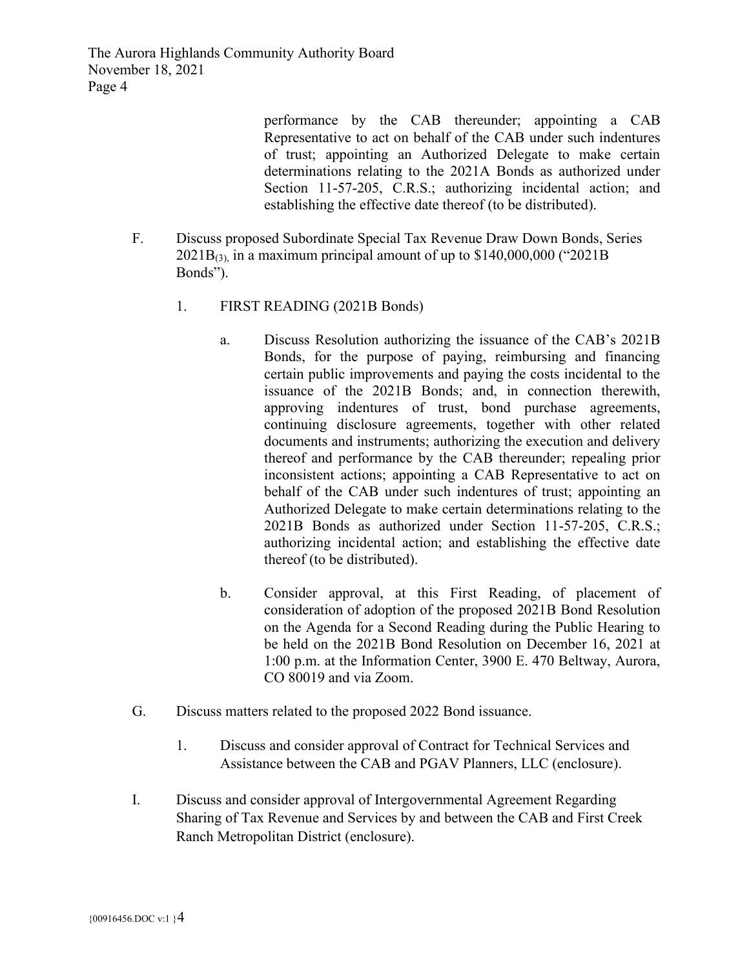> performance by the CAB thereunder; appointing a CAB Representative to act on behalf of the CAB under such indentures of trust; appointing an Authorized Delegate to make certain determinations relating to the 2021A Bonds as authorized under Section 11-57-205, C.R.S.; authorizing incidental action; and establishing the effective date thereof (to be distributed).

- F. Discuss proposed Subordinate Special Tax Revenue Draw Down Bonds, Series  $2021B_{(3)}$  in a maximum principal amount of up to \$140,000,000 ("2021B) Bonds").
	- 1. FIRST READING (2021B Bonds)
		- a. Discuss Resolution authorizing the issuance of the CAB's 2021B Bonds, for the purpose of paying, reimbursing and financing certain public improvements and paying the costs incidental to the issuance of the 2021B Bonds; and, in connection therewith, approving indentures of trust, bond purchase agreements, continuing disclosure agreements, together with other related documents and instruments; authorizing the execution and delivery thereof and performance by the CAB thereunder; repealing prior inconsistent actions; appointing a CAB Representative to act on behalf of the CAB under such indentures of trust; appointing an Authorized Delegate to make certain determinations relating to the 2021B Bonds as authorized under Section 11-57-205, C.R.S.; authorizing incidental action; and establishing the effective date thereof (to be distributed).
		- b. Consider approval, at this First Reading, of placement of consideration of adoption of the proposed 2021B Bond Resolution on the Agenda for a Second Reading during the Public Hearing to be held on the 2021B Bond Resolution on December 16, 2021 at 1:00 p.m. at the Information Center, 3900 E. 470 Beltway, Aurora, CO 80019 and via Zoom.
- G. Discuss matters related to the proposed 2022 Bond issuance.
	- 1. Discuss and consider approval of Contract for Technical Services and Assistance between the CAB and PGAV Planners, LLC (enclosure).
- I. Discuss and consider approval of Intergovernmental Agreement Regarding Sharing of Tax Revenue and Services by and between the CAB and First Creek Ranch Metropolitan District (enclosure).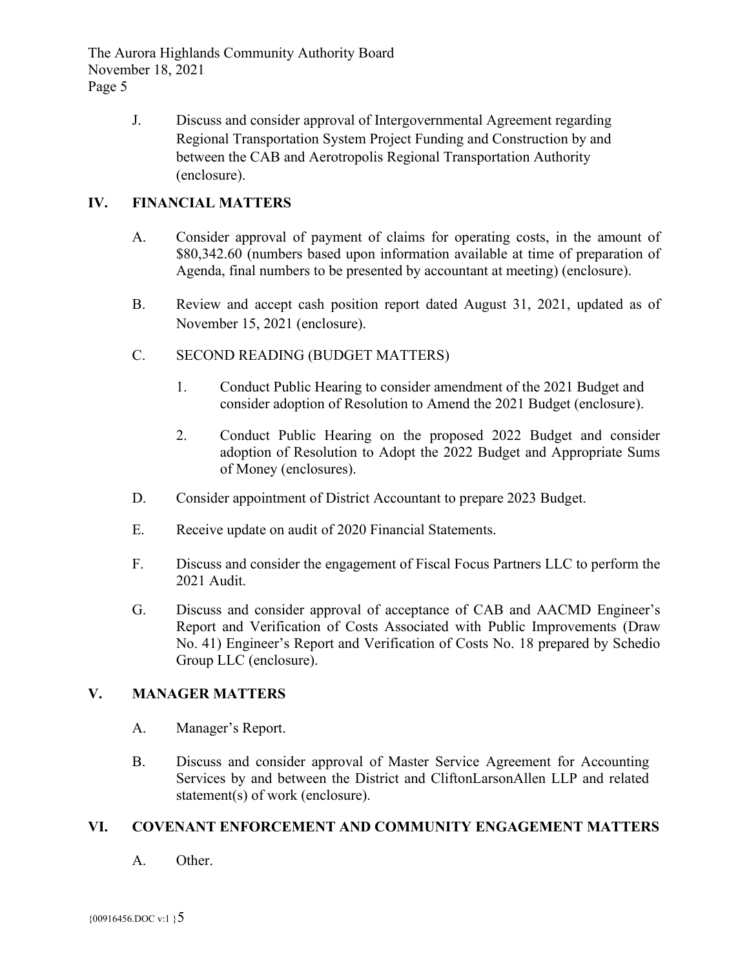> J. Discuss and consider approval of Intergovernmental Agreement regarding Regional Transportation System Project Funding and Construction by and between the CAB and Aerotropolis Regional Transportation Authority (enclosure).

# **IV. FINANCIAL MATTERS**

- A. Consider approval of payment of claims for operating costs, in the amount of \$80,342.60 (numbers based upon information available at time of preparation of Agenda, final numbers to be presented by accountant at meeting) (enclosure).
- B. Review and accept cash position report dated August 31, 2021, updated as of November 15, 2021 (enclosure).
- C. SECOND READING (BUDGET MATTERS)
	- 1. Conduct Public Hearing to consider amendment of the 2021 Budget and consider adoption of Resolution to Amend the 2021 Budget (enclosure).
	- 2. Conduct Public Hearing on the proposed 2022 Budget and consider adoption of Resolution to Adopt the 2022 Budget and Appropriate Sums of Money (enclosures).
- D. Consider appointment of District Accountant to prepare 2023 Budget.
- E. Receive update on audit of 2020 Financial Statements.
- F. Discuss and consider the engagement of Fiscal Focus Partners LLC to perform the 2021 Audit.
- G. Discuss and consider approval of acceptance of CAB and AACMD Engineer's Report and Verification of Costs Associated with Public Improvements (Draw No. 41) Engineer's Report and Verification of Costs No. 18 prepared by Schedio Group LLC (enclosure).

# **V. MANAGER MATTERS**

- A. Manager's Report.
- B. Discuss and consider approval of Master Service Agreement for Accounting Services by and between the District and CliftonLarsonAllen LLP and related statement(s) of work (enclosure).

### **VI. COVENANT ENFORCEMENT AND COMMUNITY ENGAGEMENT MATTERS**

A. Other.